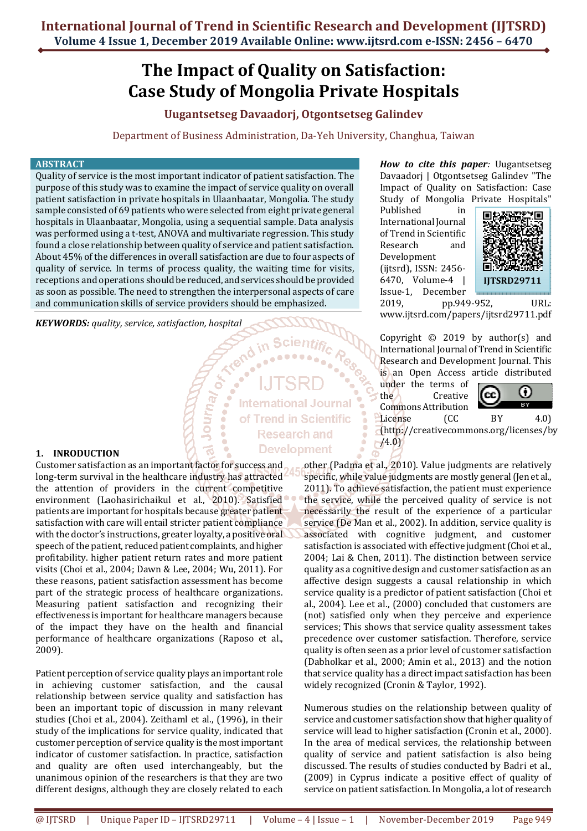# **The Impact of Quality on Satisfaction: Case Study of Mongolia Private Hospitals**

### **Uugantsetseg Davaadorj, Otgontsetseg Galindev**

Department of Business Administration, Da-Yeh University, Changhua, Taiwan

#### **ABSTRACT**

Quality of service is the most important indicator of patient satisfaction. The purpose of this study was to examine the impact of service quality on overall patient satisfaction in private hospitals in Ulaanbaatar, Mongolia. The study sample consisted of 69 patients who were selected from eight private general hospitals in Ulaanbaatar, Mongolia, using a sequential sample. Data analysis was performed using a t-test, ANOVA and multivariate regression. This study found a close relationship between quality of service and patient satisfaction. About 45% of the differences in overall satisfaction are due to four aspects of quality of service. In terms of process quality, the waiting time for visits, receptions and operations should be reduced, and services should be provided as soon as possible. The need to strengthen the interpersonal aspects of care and communication skills of service providers should be emphasized.

Journal

*KEYWORDS: quality, service, satisfaction, hospital*

## **International Journal** of Trend in Scientific **Research and Development**

#### **1. INRODUCTION**

Customer satisfaction as an important factor for success and long-term survival in the healthcare industry has attracted the attention of providers in the current competitive environment (Laohasirichaikul et al., 2010). Satisfied patients are important for hospitals because greater patient satisfaction with care will entail stricter patient compliance with the doctor's instructions, greater loyalty, a positive oral speech of the patient, reduced patient complaints, and higher profitability. higher patient return rates and more patient visits (Choi et al., 2004; Dawn & Lee, 2004; Wu, 2011). For these reasons, patient satisfaction assessment has become part of the strategic process of healthcare organizations. Measuring patient satisfaction and recognizing their effectiveness is important for healthcare managers because of the impact they have on the health and financial performance of healthcare organizations (Raposo et al., 2009).

Patient perception of service quality plays an important role in achieving customer satisfaction, and the causal relationship between service quality and satisfaction has been an important topic of discussion in many relevant studies (Choi et al., 2004). Zeithaml et al., (1996), in their study of the implications for service quality, indicated that customer perception of service quality is the most important indicator of customer satisfaction. In practice, satisfaction and quality are often used interchangeably, but the unanimous opinion of the researchers is that they are two different designs, although they are closely related to each

*How to cite this paper:* Uugantsetseg Davaadorj | Otgontsetseg Galindev "The Impact of Quality on Satisfaction: Case Study of Mongolia Private Hospitals"

Published in International Journal of Trend in Scientific Research and Development (ijtsrd), ISSN: 2456- 6470, Volume-4 | Issue-1, December



2019, pp.949-952, URL: www.ijtsrd.com/papers/ijtsrd29711.pdf

Copyright  $©$  2019 by author(s) and International Journal of Trend in Scientific Research and Development Journal. This is an Open Access article distributed

under the terms of the Creative Commons Attribution



License (CC BY 4.0) (http://creativecommons.org/licenses/by  $/4.0)$ 

other (Padma et al., 2010). Value judgments are relatively specific, while value judgments are mostly general (Jen et al., 2011). To achieve satisfaction, the patient must experience the service, while the perceived quality of service is not necessarily the result of the experience of a particular service (De Man et al., 2002). In addition, service quality is associated with cognitive judgment, and customer satisfaction is associated with effective judgment (Choi et al., 2004; Lai & Chen, 2011). The distinction between service quality as a cognitive design and customer satisfaction as an affective design suggests a causal relationship in which service quality is a predictor of patient satisfaction (Choi et al., 2004). Lee et al., (2000) concluded that customers are (not) satisfied only when they perceive and experience services; This shows that service quality assessment takes precedence over customer satisfaction. Therefore, service quality is often seen as a prior level of customer satisfaction (Dabholkar et al., 2000; Amin et al., 2013) and the notion that service quality has a direct impact satisfaction has been widely recognized (Cronin & Taylor, 1992).

Numerous studies on the relationship between quality of service and customer satisfaction show that higher quality of service will lead to higher satisfaction (Cronin et al., 2000). In the area of medical services, the relationship between quality of service and patient satisfaction is also being discussed. The results of studies conducted by Badri et al., (2009) in Cyprus indicate a positive effect of quality of service on patient satisfaction. In Mongolia, a lot of research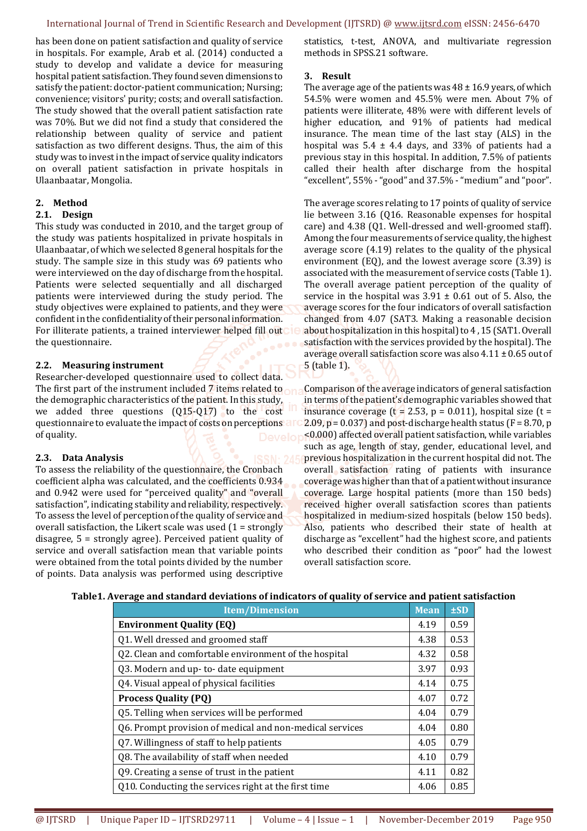has been done on patient satisfaction and quality of service in hospitals. For example, Arab et al. (2014) conducted a study to develop and validate a device for measuring hospital patient satisfaction. They found seven dimensions to satisfy the patient: doctor-patient communication; Nursing; convenience; visitors' purity; costs; and overall satisfaction. The study showed that the overall patient satisfaction rate was 70%. But we did not find a study that considered the relationship between quality of service and patient satisfaction as two different designs. Thus, the aim of this study was to invest in the impact of service quality indicators on overall patient satisfaction in private hospitals in Ulaanbaatar, Mongolia.

#### **2. Method**

#### **2.1. Design**

This study was conducted in 2010, and the target group of the study was patients hospitalized in private hospitals in Ulaanbaatar, of which we selected 8 general hospitals for the study. The sample size in this study was 69 patients who were interviewed on the day of discharge from the hospital. Patients were selected sequentially and all discharged patients were interviewed during the study period. The study objectives were explained to patients, and they were confident in the confidentiality of their personal information. For illiterate patients, a trained interviewer helped fill out the questionnaire.

#### **2.2. Measuring instrument**

Researcher-developed questionnaire used to collect data. The first part of the instrument included 7 items related to the demographic characteristics of the patient. In this study, we added three questions (Q15-Q17) to the cost questionnaire to evaluate the impact of costs on perceptions are of quality.

#### **2.3. Data Analysis**

To assess the reliability of the questionnaire, the Cronbach coefficient alpha was calculated, and the coefficients 0.934 and 0.942 were used for "perceived quality" and "overall satisfaction", indicating stability and reliability, respectively. To assess the level of perception of the quality of service and overall satisfaction, the Likert scale was used  $(1 =$  strongly disagree, 5 = strongly agree). Perceived patient quality of service and overall satisfaction mean that variable points were obtained from the total points divided by the number of points. Data analysis was performed using descriptive

statistics, t-test, ANOVA, and multivariate regression methods in SPSS.21 software.

#### **3. Result**

The average age of the patients was  $48 \pm 16.9$  years, of which 54.5% were women and 45.5% were men. About 7% of patients were illiterate, 48% were with different levels of higher education, and 91% of patients had medical insurance. The mean time of the last stay (ALS) in the hospital was  $5.4 \pm 4.4$  days, and 33% of patients had a previous stay in this hospital. In addition, 7.5% of patients called their health after discharge from the hospital "excellent", 55% - "good" and 37.5% - "medium" and "poor".

The average scores relating to 17 points of quality of service lie between 3.16 (Q16. Reasonable expenses for hospital care) and 4.38 (Q1. Well-dressed and well-groomed staff). Among the four measurements of service quality, the highest average score (4.19) relates to the quality of the physical environment (EQ), and the lowest average score (3.39) is associated with the measurement of service costs (Table 1). The overall average patient perception of the quality of service in the hospital was  $3.91 \pm 0.61$  out of 5. Also, the average scores for the four indicators of overall satisfaction changed from 4.07 (SAT3. Making a reasonable decision about hospitalization in this hospital) to 4 , 15 (SAT1. Overall satisfaction with the services provided by the hospital). The average overall satisfaction score was also  $4.11 \pm 0.65$  out of 5 (table 1).

Comparison of the average indicators of general satisfaction in terms of the patient's demographic variables showed that insurance coverage ( $t = 2.53$ ,  $p = 0.011$ ), hospital size ( $t =$ 2.09,  $p = 0.037$  and post-discharge health status ( $F = 8.70$ , p <0.000) affected overall patient satisfaction, while variables such as age, length of stay, gender, educational level, and previous hospitalization in the current hospital did not. The overall satisfaction rating of patients with insurance coverage was higher than that of a patient without insurance coverage. Large hospital patients (more than 150 beds) received higher overall satisfaction scores than patients hospitalized in medium-sized hospitals (below 150 beds). Also, patients who described their state of health at discharge as "excellent" had the highest score, and patients who described their condition as "poor" had the lowest overall satisfaction score.

| Table1. Average and standard deviations of indicators of quality of service and patient satisfaction |  |  |  |
|------------------------------------------------------------------------------------------------------|--|--|--|
|------------------------------------------------------------------------------------------------------|--|--|--|

| <b>Item/Dimension</b>                                    | <b>Mean</b> | ±SD  |
|----------------------------------------------------------|-------------|------|
| <b>Environment Quality (EQ)</b>                          |             | 0.59 |
| Q1. Well dressed and groomed staff                       | 4.38        | 0.53 |
| Q2. Clean and comfortable environment of the hospital    | 4.32        | 0.58 |
| Q3. Modern and up- to- date equipment                    | 3.97        | 0.93 |
| Q4. Visual appeal of physical facilities                 |             | 0.75 |
| <b>Process Quality (PQ)</b>                              |             | 0.72 |
| Q5. Telling when services will be performed              | 4.04        | 0.79 |
| Q6. Prompt provision of medical and non-medical services |             | 0.80 |
| Q7. Willingness of staff to help patients                | 4.05        | 0.79 |
| Q8. The availability of staff when needed                | 4.10        | 0.79 |
| Q9. Creating a sense of trust in the patient             | 4.11        | 0.82 |
| Q10. Conducting the services right at the first time     |             | 0.85 |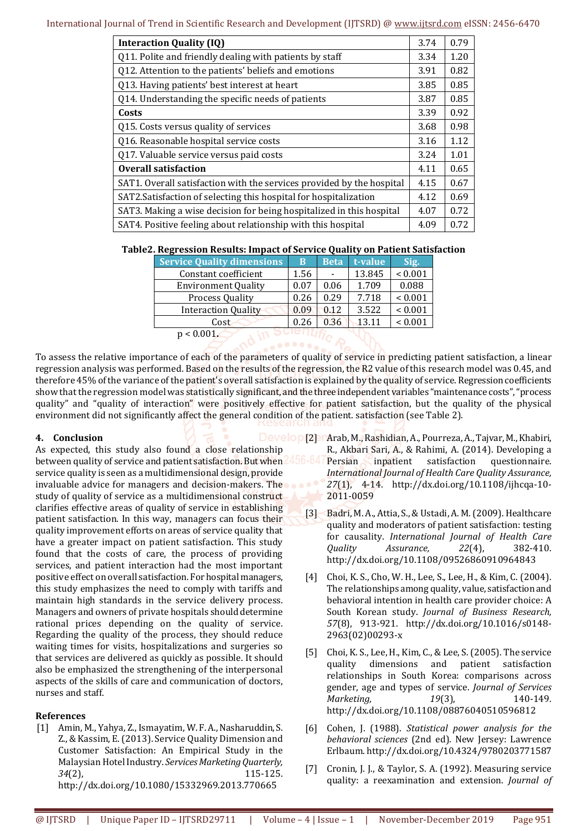| <b>Interaction Quality (IQ)</b>                                       | 3.74 | 0.79 |
|-----------------------------------------------------------------------|------|------|
| Q11. Polite and friendly dealing with patients by staff               |      | 1.20 |
| Q12. Attention to the patients' beliefs and emotions                  |      | 0.82 |
| Q13. Having patients' best interest at heart                          |      | 0.85 |
| Q14. Understanding the specific needs of patients                     |      | 0.85 |
| Costs                                                                 | 3.39 | 0.92 |
| Q15. Costs versus quality of services                                 | 3.68 | 0.98 |
| Q16. Reasonable hospital service costs                                | 3.16 | 1.12 |
| Q17. Valuable service versus paid costs                               |      | 1.01 |
| <b>Overall satisfaction</b>                                           | 4.11 | 0.65 |
| SAT1. Overall satisfaction with the services provided by the hospital |      | 0.67 |
| SAT2. Satisfaction of selecting this hospital for hospitalization     |      | 0.69 |
| SAT3. Making a wise decision for being hospitalized in this hospital  |      | 0.72 |
| SAT4. Positive feeling about relationship with this hospital          |      | 0.72 |

|  | Table2. Regression Results: Impact of Service Quality on Patient Satisfaction |  |
|--|-------------------------------------------------------------------------------|--|
|  |                                                                               |  |

| <b>Service Quality dimensions</b> | B    | <b>Beta</b> | t-value | Sig.        |
|-----------------------------------|------|-------------|---------|-------------|
| Constant coefficient              | 1.56 |             | 13.845  | ${}< 0.001$ |
| <b>Environment Quality</b>        | 0.07 | 0.06        | 1.709   | 0.088       |
| <b>Process Quality</b>            | 0.26 | 0.29        | 7.718   | ${}< 0.001$ |
| <b>Interaction Quality</b>        | 0.09 | 0.12        | 3.522   | ${}< 0.001$ |
| Cost                              | 0.26 | 0.36        | 13.11   | ${}< 0.001$ |
| $p < 0.001$ .                     | - -  |             |         |             |

To assess the relative importance of each of the parameters of quality of service in predicting patient satisfaction, a linear regression analysis was performed. Based on the results of the regression, the R2 value of this research model was 0.45, and therefore 45% of the variance of the patient's overall satisfaction is explained by the quality of service. Regression coefficients show that the regression model was statistically significant, and the three independent variables "maintenance costs", "process quality" and "quality of interaction" were positively effective for patient satisfaction, but the quality of the physical environment did not significantly affect the general condition of the patient. satisfaction (see Table 2).

#### **4. Conclusion**

As expected, this study also found a close relationship between quality of service and patient satisfaction. But when 456-64 service quality is seen as a multidimensional design, provide invaluable advice for managers and decision-makers. The study of quality of service as a multidimensional construct clarifies effective areas of quality of service in establishing patient satisfaction. In this way, managers can focus their quality improvement efforts on areas of service quality that have a greater impact on patient satisfaction. This study found that the costs of care, the process of providing services, and patient interaction had the most important positive effect on overall satisfaction. For hospital managers, this study emphasizes the need to comply with tariffs and maintain high standards in the service delivery process. Managers and owners of private hospitals should determine rational prices depending on the quality of service. Regarding the quality of the process, they should reduce waiting times for visits, hospitalizations and surgeries so that services are delivered as quickly as possible. It should also be emphasized the strengthening of the interpersonal aspects of the skills of care and communication of doctors, nurses and staff.

#### **References**

[1] Amin, M., Yahya, Z., Ismayatim, W. F. A., Nasharuddin, S. Z., & Kassim, E. (2013). Service Quality Dimension and Customer Satisfaction: An Empirical Study in the Malaysian Hotel Industry. *Services Marketing Quarterly, 34*(2), 115-125. http://dx.doi.org/10.1080/15332969.2013.770665

- Develop [2] Marab, M., Rashidian, A., Pourreza, A., Tajvar, M., Khabiri, R., Akbari Sari, A., & Rahimi, A. (2014). Developing a
	- Persian inpatient satisfaction questionnaire. *International Journal of Health Care Quality Assurance, 27*(1), 4-14. http://dx.doi.org/10.1108/ijhcqa-10- 2011-0059
	- [3] Badri, M. A., Attia, S., & Ustadi, A. M. (2009). Healthcare quality and moderators of patient satisfaction: testing for causality. *International Journal of Health Care Quality Assurance, 22*(4), 382-410. http://dx.doi.org/10.1108/09526860910964843
	- [4] Choi, K. S., Cho, W. H., Lee, S., Lee, H., & Kim, C. (2004). The relationships among quality, value, satisfaction and behavioral intention in health care provider choice: A South Korean study. *Journal of Business Research, 57*(8), 913-921. http://dx.doi.org/10.1016/s0148- 2963(02)00293-x
	- [5] Choi, K. S., Lee, H., Kim, C., & Lee, S. (2005). The service quality dimensions and patient satisfaction relationships in South Korea: comparisons across gender, age and types of service. *Journal of Services Marketing, 19*(3), 140-149. http://dx.doi.org/10.1108/08876040510596812
	- [6] Cohen, J. (1988). *Statistical power analysis for the behavioral sciences* (2nd ed). New Jersey: Lawrence Erlbaum. http://dx.doi.org/10.4324/9780203771587
	- [7] Cronin, J. J., & Taylor, S. A. (1992). Measuring service quality: a reexamination and extension. *Journal of*